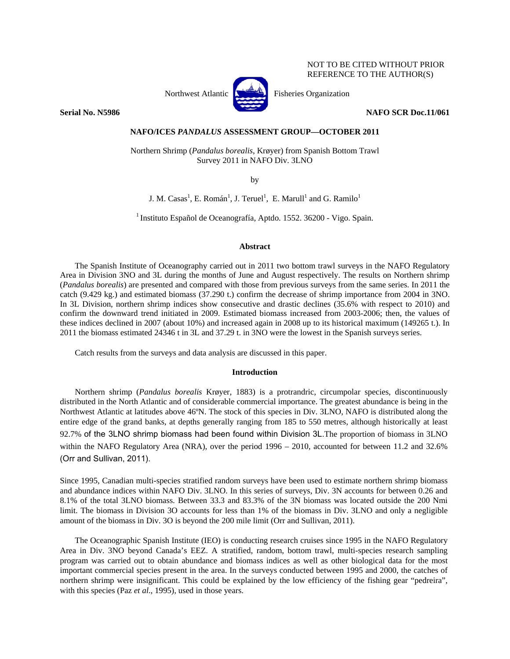# NOT TO BE CITED WITHOUT PRIOR REFERENCE TO THE AUTHOR(S)



**Serial No. N5986** NAFO SCR Doc.11/061

## **NAFO/ICES** *PANDALUS* **ASSESSMENT GROUP—OCTOBER 2011**

Northern Shrimp (*Pandalus borealis*, Krøyer) from Spanish Bottom Trawl Survey 2011 in NAFO Div. 3LNO

by

J. M. Casas<sup>1</sup>, E. Román<sup>1</sup>, J. Teruel<sup>1</sup>, E. Marull<sup>1</sup> and G. Ramilo<sup>1</sup>

1 Instituto Español de Oceanografía, Aptdo. 1552. 36200 - Vigo. Spain.

## **Abstract**

The Spanish Institute of Oceanography carried out in 2011 two bottom trawl surveys in the NAFO Regulatory Area in Division 3NO and 3L during the months of June and August respectively. The results on Northern shrimp (*Pandalus borealis*) are presented and compared with those from previous surveys from the same series. In 2011 the catch (9.429 kg.) and estimated biomass (37.290 t.) confirm the decrease of shrimp importance from 2004 in 3NO. In 3L Division, northern shrimp indices show consecutive and drastic declines (35.6% with respect to 2010) and confirm the downward trend initiated in 2009. Estimated biomass increased from 2003-2006; then, the values of these indices declined in 2007 (about 10%) and increased again in 2008 up to its historical maximum (149265 t.). In 2011 the biomass estimated 24346 t in 3L and 37.29 t. in 3NO were the lowest in the Spanish surveys series.

Catch results from the surveys and data analysis are discussed in this paper.

## **Introduction**

Northern shrimp (*Pandalus borealis* Krøyer, 1883) is a protrandric, circumpolar species, discontinuously distributed in the North Atlantic and of considerable commercial importance. The greatest abundance is being in the Northwest Atlantic at latitudes above 46ºN. The stock of this species in Div. 3LNO, NAFO is distributed along the entire edge of the grand banks, at depths generally ranging from 185 to 550 metres, although historically at least 92.7% of the 3LNO shrimp biomass had been found within Division 3L.The proportion of biomass in 3LNO within the NAFO Regulatory Area (NRA), over the period 1996 – 2010, accounted for between 11.2 and 32.6% (Orr and Sullivan, 2011).

Since 1995, Canadian multi-species stratified random surveys have been used to estimate northern shrimp biomass and abundance indices within NAFO Div. 3LNO. In this series of surveys, Div. 3N accounts for between 0.26 and 8.1% of the total 3LNO biomass. Between 33.3 and 83.3% of the 3N biomass was located outside the 200 Nmi limit. The biomass in Division 3O accounts for less than 1% of the biomass in Div. 3LNO and only a negligible amount of the biomass in Div. 3O is beyond the 200 mile limit (Orr and Sullivan, 2011).

The Oceanographic Spanish Institute (IEO) is conducting research cruises since 1995 in the NAFO Regulatory Area in Div. 3NO beyond Canada's EEZ. A stratified, random, bottom trawl, multi-species research sampling program was carried out to obtain abundance and biomass indices as well as other biological data for the most important commercial species present in the area. In the surveys conducted between 1995 and 2000, the catches of northern shrimp were insignificant. This could be explained by the low efficiency of the fishing gear "pedreira", with this species (Paz *et al*., 1995), used in those years.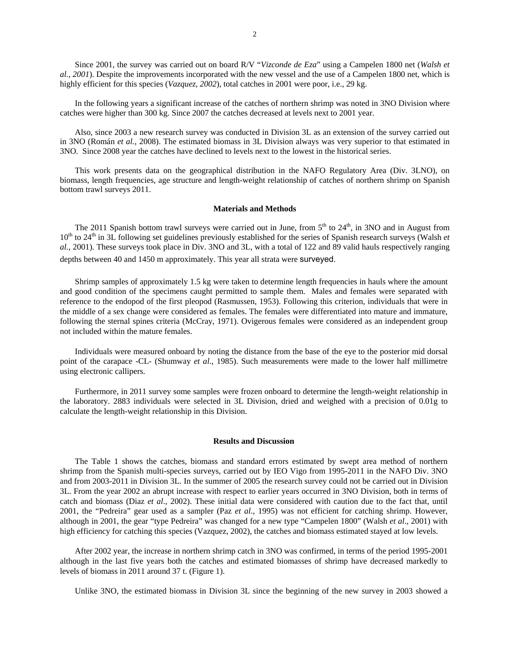Since 2001, the survey was carried out on board R/V "*Vizconde de Eza*" using a Campelen 1800 net (*Walsh et al., 2001*). Despite the improvements incorporated with the new vessel and the use of a Campelen 1800 net, which is highly efficient for this species (*Vazquez, 2002*), total catches in 2001 were poor, i.e., 29 kg.

In the following years a significant increase of the catches of northern shrimp was noted in 3NO Division where catches were higher than 300 kg. Since 2007 the catches decreased at levels next to 2001 year.

Also, since 2003 a new research survey was conducted in Division 3L as an extension of the survey carried out in 3NO (Román *et al.*, 2008). The estimated biomass in 3L Division always was very superior to that estimated in 3NO. Since 2008 year the catches have declined to levels next to the lowest in the historical series.

This work presents data on the geographical distribution in the NAFO Regulatory Area (Div. 3LNO), on biomass, length frequencies, age structure and length-weight relationship of catches of northern shrimp on Spanish bottom trawl surveys 2011.

#### **Materials and Methods**

The 2011 Spanish bottom trawl surveys were carried out in June, from  $5<sup>th</sup>$  to  $24<sup>th</sup>$ , in 3NO and in August from 10<sup>th</sup> to 24<sup>th</sup> in 3L following set guidelines previously established for the series of Spanish research surveys (Walsh *et al.*, 2001). These surveys took place in Div. 3NO and 3L, with a total of 122 and 89 valid hauls respectively ranging depths between 40 and 1450 m approximately. This year all strata were surveyed.

Shrimp samples of approximately 1.5 kg were taken to determine length frequencies in hauls where the amount and good condition of the specimens caught permitted to sample them. Males and females were separated with reference to the endopod of the first pleopod (Rasmussen, 1953). Following this criterion, individuals that were in the middle of a sex change were considered as females. The females were differentiated into mature and immature, following the sternal spines criteria (McCray, 1971). Ovigerous females were considered as an independent group not included within the mature females.

Individuals were measured onboard by noting the distance from the base of the eye to the posterior mid dorsal point of the carapace -CL- (Shumway *et al*., 1985). Such measurements were made to the lower half millimetre using electronic callipers.

Furthermore, in 2011 survey some samples were frozen onboard to determine the length-weight relationship in the laboratory. 2883 individuals were selected in 3L Division, dried and weighed with a precision of 0.01g to calculate the length-weight relationship in this Division.

#### **Results and Discussion**

The Table 1 shows the catches, biomass and standard errors estimated by swept area method of northern shrimp from the Spanish multi-species surveys, carried out by IEO Vigo from 1995-2011 in the NAFO Div. 3NO and from 2003-2011 in Division 3L. In the summer of 2005 the research survey could not be carried out in Division 3L. From the year 2002 an abrupt increase with respect to earlier years occurred in 3NO Division, both in terms of catch and biomass (Diaz *et al*., 2002). These initial data were considered with caution due to the fact that, until 2001, the "Pedreira" gear used as a sampler (Paz *et al*., 1995) was not efficient for catching shrimp. However, although in 2001, the gear "type Pedreira" was changed for a new type "Campelen 1800" (Walsh *et al*., 2001) with high efficiency for catching this species (Vazquez, 2002), the catches and biomass estimated stayed at low levels.

After 2002 year, the increase in northern shrimp catch in 3NO was confirmed, in terms of the period 1995-2001 although in the last five years both the catches and estimated biomasses of shrimp have decreased markedly to levels of biomass in 2011 around 37 t. (Figure 1).

Unlike 3NO, the estimated biomass in Division 3L since the beginning of the new survey in 2003 showed a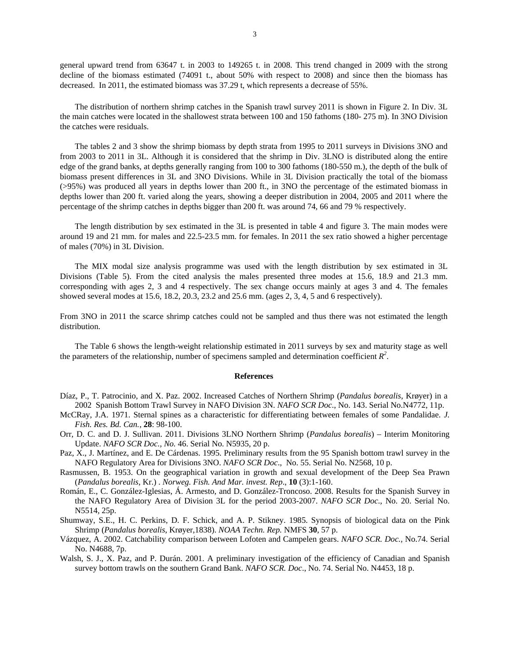general upward trend from 63647 t. in 2003 to 149265 t. in 2008. This trend changed in 2009 with the strong decline of the biomass estimated (74091 t., about 50% with respect to 2008) and since then the biomass has decreased. In 2011, the estimated biomass was 37.29 t, which represents a decrease of 55%.

The distribution of northern shrimp catches in the Spanish trawl survey 2011 is shown in Figure 2. In Div. 3L the main catches were located in the shallowest strata between 100 and 150 fathoms (180- 275 m). In 3NO Division the catches were residuals.

The tables 2 and 3 show the shrimp biomass by depth strata from 1995 to 2011 surveys in Divisions 3NO and from 2003 to 2011 in 3L. Although it is considered that the shrimp in Div. 3LNO is distributed along the entire edge of the grand banks, at depths generally ranging from 100 to 300 fathoms (180-550 m.), the depth of the bulk of biomass present differences in 3L and 3NO Divisions. While in 3L Division practically the total of the biomass (>95%) was produced all years in depths lower than 200 ft., in 3NO the percentage of the estimated biomass in depths lower than 200 ft. varied along the years, showing a deeper distribution in 2004, 2005 and 2011 where the percentage of the shrimp catches in depths bigger than 200 ft. was around 74, 66 and 79 % respectively.

The length distribution by sex estimated in the 3L is presented in table 4 and figure 3. The main modes were around 19 and 21 mm. for males and 22.5-23.5 mm. for females. In 2011 the sex ratio showed a higher percentage of males (70%) in 3L Division.

The MIX modal size analysis programme was used with the length distribution by sex estimated in 3L Divisions (Table 5). From the cited analysis the males presented three modes at 15.6, 18.9 and 21.3 mm. corresponding with ages 2, 3 and 4 respectively. The sex change occurs mainly at ages 3 and 4. The females showed several modes at 15.6, 18.2, 20.3, 23.2 and 25.6 mm. (ages 2, 3, 4, 5 and 6 respectively).

From 3NO in 2011 the scarce shrimp catches could not be sampled and thus there was not estimated the length distribution.

The Table 6 shows the length-weight relationship estimated in 2011 surveys by sex and maturity stage as well the parameters of the relationship, number of specimens sampled and determination coefficient  $R^2$ .

#### **References**

- Díaz, P., T. Patrocinio, and X. Paz. 2002. Increased Catches of Northern Shrimp (*Pandalus borealis*, Krøyer) in a 2002 Spanish Bottom Trawl Survey in NAFO Division 3N. *NAFO SCR Doc*., No. 143. Serial No.N4772, 11p.
- McCRay, J.A. 1971. Sternal spines as a characteristic for differentiating between females of some Pandalidae. *J. Fish. Res. Bd. Can.*, **28**: 98-100.
- Orr, D. C. and D. J. Sullivan. 2011. Divisions 3LNO Northern Shrimp (*Pandalus borealis*) Interim Monitoring Update. *NAFO SCR Doc., No.* 46. Serial No. N5935, 20 p.
- Paz, X., J. Martínez, and E. De Cárdenas. 1995. Preliminary results from the 95 Spanish bottom trawl survey in the NAFO Regulatory Area for Divisions 3NO. *NAFO SCR Doc*., No. 55. Serial No. N2568, 10 p.
- Rasmussen, B. 1953. On the geographical variation in growth and sexual development of the Deep Sea Prawn (*Pandalus borealis*, Kr.) . *Norweg. Fish. And Mar. invest. Rep*., **10** (3):1-160.
- Román, E., C. González-Iglesias, Á. Armesto, and D. González-Troncoso. 2008. Results for the Spanish Survey in the NAFO Regulatory Area of Division 3L for the period 2003-2007. *NAFO SCR Doc*., No. 20. Serial No. N5514, 25p.
- Shumway, S.E., H. C. Perkins, D. F. Schick, and A. P. Stikney. 1985. Synopsis of biological data on the Pink Shrimp (*Pandalus borealis*, Krøyer,1838). *NOAA Techn. Rep.* NMFS **30**, 57 p.
- Vázquez, A. 2002. Catchability comparison between Lofoten and Campelen gears. *NAFO SCR. Doc.,* No.74. Serial No. N4688, 7p.
- Walsh, S. J., X. Paz, and P. Durán. 2001. A preliminary investigation of the efficiency of Canadian and Spanish survey bottom trawls on the southern Grand Bank. *NAFO SCR. Doc*., No. 74. Serial No. N4453, 18 p.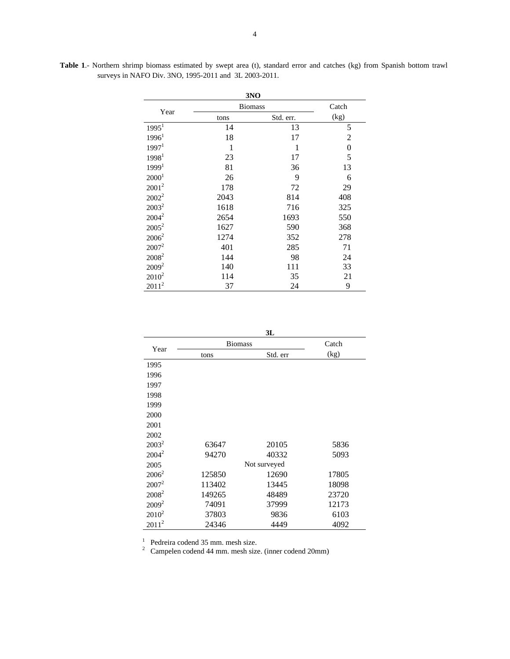|                   |                | 3NO       |      |
|-------------------|----------------|-----------|------|
| Year              | <b>Biomass</b> | Catch     |      |
|                   | tons           | Std. err. | (kg) |
| 1995 <sup>1</sup> | 14             | 13        | 5    |
| 1996 <sup>1</sup> | 18             | 17        | 2    |
| 1997 <sup>1</sup> | 1              | 1         | 0    |
| 1998 <sup>1</sup> | 23             | 17        | 5    |
| 1999 <sup>1</sup> | 81             | 36        | 13   |
| 2000 <sup>1</sup> | 26             | 9         | 6    |
| $2001^2$          | 178            | 72        | 29   |
| $2002^2$          | 2043           | 814       | 408  |
| $2003^2$          | 1618           | 716       | 325  |
| $2004^2$          | 2654           | 1693      | 550  |
| $2005^2$          | 1627           | 590       | 368  |
| $2006^2$          | 1274           | 352       | 278  |
| $2007^2$          | 401            | 285       | 71   |
| 2008 <sup>2</sup> | 144            | 98        | 24   |
| $2009^2$          | 140            | 111       | 33   |
| $2010^2$          | 114            | 35        | 21   |
| $2011^2$          | 37             | 24        | 9    |

**Table 1**.- Northern shrimp biomass estimated by swept area (t), standard error and catches (kg) from Spanish bottom trawl surveys in NAFO Div. 3NO, 1995-2011 and 3L 2003-2011.

| I |
|---|

| Year     | <b>Biomass</b> | Catch        |       |
|----------|----------------|--------------|-------|
|          | tons           | Std. err     | (kg)  |
| 1995     |                |              |       |
| 1996     |                |              |       |
| 1997     |                |              |       |
| 1998     |                |              |       |
| 1999     |                |              |       |
| 2000     |                |              |       |
| 2001     |                |              |       |
| 2002     |                |              |       |
| $2003^2$ | 63647          | 20105        | 5836  |
| $2004^2$ | 94270          | 40332        | 5093  |
| 2005     |                | Not surveyed |       |
| $2006^2$ | 125850         | 12690        | 17805 |
| $2007^2$ | 113402         | 13445        | 18098 |
| $2008^2$ | 149265         | 48489        | 23720 |
| $2009^2$ | 74091          | 37999        | 12173 |
| $2010^2$ | 37803          | 9836         | 6103  |
| $2011^2$ | 24346          | 4449         | 4092  |

1 Pedreira codend 35 mm. mesh size. 2 Campelen codend 44 mm. mesh size. (inner codend 20mm)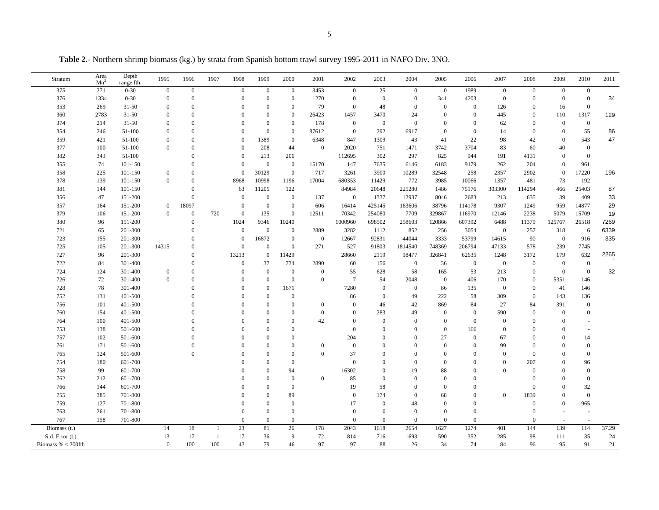**Table 2**.- Northern shrimp biomass (kg.) by strata from Spanish bottom trawl survey 1995-2011 in NAFO Div. 3NO.

| Stratum              | Area<br>Mn <sup>2</sup> | Depth<br>range fth. | 1995             | 1996             | 1997 | 1998             | 1999             | 2000             | 2001         | 2002             | 2003             | 2004             | 2005             | 2006           | 2007             | 2008             | 2009             | 2010             | 2011  |
|----------------------|-------------------------|---------------------|------------------|------------------|------|------------------|------------------|------------------|--------------|------------------|------------------|------------------|------------------|----------------|------------------|------------------|------------------|------------------|-------|
| 375                  | 271                     | $0 - 30$            | $\mathbf{0}$     | $\boldsymbol{0}$ |      | $\boldsymbol{0}$ | $\mathbf{0}$     | $\mathbf{0}$     | 3453         | $\overline{0}$   | 25               | $\boldsymbol{0}$ | $\overline{0}$   | 1989           | $\boldsymbol{0}$ | $\mathbf{0}$     | $\boldsymbol{0}$ | $\boldsymbol{0}$ |       |
| 376                  | 1334                    | $0 - 30$            | $\mathbf{0}$     | $\mathbf{0}$     |      | $\mathbf{0}$     | $\mathbf{0}$     | $\overline{0}$   | 1270         | $\mathbf{0}$     | $\mathbf{0}$     | $\mathbf{0}$     | 341              | 4203           | $\mathbf{0}$     | $\mathbf{0}$     | $\overline{0}$   | $\mathbf{0}$     | 34    |
| 353                  | 269                     | $31 - 50$           | $\Omega$         | $\mathbf{0}$     |      | $\Omega$         | $\Omega$         | $\boldsymbol{0}$ | 79           | $\mathbf{0}$     | 48               | $\mathbf{0}$     | $\mathbf{0}$     | $\mathbf{0}$   | 126              | $\overline{0}$   | 16               | $\overline{0}$   |       |
| 360                  | 2783                    | $31 - 50$           | $\mathbf{0}$     | $\Omega$         |      | $\Omega$         | $\theta$         | $\mathbf{0}$     | 26423        | 1457             | 3470             | 24               | $\mathbf{0}$     | $\mathbf{0}$   | 445              | $\mathbf{0}$     | 110              | 1317             | 129   |
| 374                  | 214                     | $31 - 50$           | $\Omega$         | $\Omega$         |      | $\Omega$         | $\mathbf{0}$     | $\overline{0}$   | 178          | $\mathbf{0}$     | $\boldsymbol{0}$ | $\theta$         | $\mathbf{0}$     | $\mathbf{0}$   | 62               | $\overline{0}$   | $\Omega$         | $\mathbf{0}$     |       |
| 354                  | 246                     | 51-100              | $\overline{0}$   | $\overline{0}$   |      | $\theta$         | $\mathbf{0}$     | $\mathbf{0}$     | 87612        | $\mathbf{0}$     | 292              | 6917             | $\mathbf{0}$     | $\mathbf{0}$   | 14               | $\mathbf{0}$     | $\overline{0}$   | 55               | 86    |
| 359                  | 421                     | 51-100              | $\Omega$         | $\Omega$         |      | $\mathbf{0}$     | 1389             | $\boldsymbol{0}$ | 6348         | 847              | 1309             | 43               | 41               | 22             | 98               | 42               | $\Omega$         | 543              | 47    |
| 377                  | 100                     | 51-100              | $\Omega$         | $\Omega$         |      | $\mathbf{0}$     | 208              | 44               | $\mathbf{0}$ | 2020             | 751              | 1471             | 3742             | 3704           | 83               | 60               | 40               | $\mathbf{0}$     |       |
| 382                  | 343                     | 51-100              |                  | $\Omega$         |      | $\theta$         | 213              | 206              |              | 112695           | 302              | 297              | 825              | 944            | 191              | 4131             | $\theta$         | $\overline{0}$   |       |
| 355                  | 74                      | 101-150             |                  | $\Omega$         |      | $\Omega$         | $\overline{0}$   | $\mathbf{0}$     | 15170        | 147              | 7635             | 6146             | 6183             | 9179           | 262              | 204              | $\Omega$         | 961              |       |
| 358                  | 225                     | 101-150             | $\mathbf{0}$     | $\mathbf{0}$     |      | $\mathbf{0}$     | 30129            | $\overline{0}$   | 717          | 3261             | 3900             | 10289            | 32548            | 258            | 2357             | 2902             | $\Omega$         | 17220            | 196   |
| 378                  | 139                     | 101-150             | $\theta$         | $\Omega$         |      | 8968             | 10998            | 1196             | 17004        | 680353           | 11429            | 772              | 3985             | 10066          | 1357             | 481              | 73               | 192              |       |
| 381                  | 144                     | 101-150             |                  | $\mathbf{0}$     |      | 63               | 11205            | 122              |              | 84984            | 20648            | 225280           | 1486             | 75176          | 303300           | 114294           | 466              | 25403            | 87    |
| 356                  | 47                      | 151-200             |                  | $\overline{0}$   |      | $\Omega$         | $\mathbf{0}$     | $\mathbf{0}$     | 137          | $\overline{0}$   | 1337             | 12937            | 8046             | 2683           | 213              | 635              | 39               | 409              | 33    |
| 357                  | 164                     | 151-200             | $\boldsymbol{0}$ | 18097            |      | $\Omega$         | $\mathbf{0}$     | $\mathbf{0}$     | 606          | 16414            | 425145           | 163606           | 38796            | 114178         | 9307             | 1249             | 959              | 14877            | 29    |
| 379                  | 106                     | 151-200             | $\boldsymbol{0}$ | $\mathbf{0}$     | 720  | $\mathbf{0}$     | 135              | $\mathbf{0}$     | 12511        | 70342            | 254080           | 7709             | 329867           | 116970         | 12146            | 2238             | 5079             | 15709            | 19    |
| 380                  | 96                      | 151-200             |                  | $\mathbf{0}$     |      | 1024             | 9346             | 10240            |              | 1000960          | 698502           | 258603           | 120866           | 607392         | 6488             | 11379            | 125767           | 26518            | 7269  |
| 721                  | 65                      | 201-300             |                  | $\mathbf{0}$     |      | $\boldsymbol{0}$ | $\mathbf{0}$     | $\mathbf{0}$     | 2889         | 3282             | 1112             | 852              | 256              | 3054           | $\boldsymbol{0}$ | 257              | 318              | $\sqrt{6}$       | 6339  |
| 723                  | 155                     | 201-300             |                  | $\Omega$         |      | $\theta$         | 16872            | $\mathbf{0}$     | $\mathbf{0}$ | 12667            | 92831            | 44044            | 3333             | 53799          | 14615            | 90               | $\mathbf{0}$     | 916              | 335   |
| 725                  | 105                     | 201-300             | 14315            | $\Omega$         |      | $\mathbf{0}$     | $\mathbf{0}$     | $\mathbf{0}$     | 271          | 527              | 91803            | 1814540          | 748369           | 206794         | 47133            | 578              | 239              | 7745             |       |
| 727                  | 96                      | 201-300             |                  | $\Omega$         |      | 13213            | $\bf{0}$         | 11429            |              | 28660            | 2119             | 98477            | 326841           | 62635          | 1248             | 3172             | 179              | 632              | 2265  |
| 722                  | 84                      | 301-400             |                  | $\Omega$         |      | $\mathbf{0}$     | 37               | 734              | 2890         | 60               | 156              | $\mathbf{0}$     | 36               | $\mathbf{0}$   | $\boldsymbol{0}$ | $\mathbf{0}$     | $\overline{0}$   | $\overline{0}$   |       |
| 724                  | 124                     | 301-400             | $\mathbf{0}$     | $\mathbf{0}$     |      | $\theta$         | $\mathbf{0}$     | $\mathbf{0}$     | $\mathbf{0}$ | 55               | 628              | 58               | 165              | 53             | 213              | $\boldsymbol{0}$ | $\mathbf{0}$     | $\mathbf{0}$     | 32    |
| 726                  | 72                      | 301-400             | $\theta$         | $\Omega$         |      | $\Omega$         | $\mathbf{0}$     | $\mathbf{0}$     | $\mathbf{0}$ | $7\phantom{.0}$  | 54               | 2048             | $\mathbf{0}$     | 406            | 170              | $\mathbf{0}$     | 5351             | 146              |       |
| 728                  | 78                      | 301-400             |                  | $\Omega$         |      | $\Omega$         | $\boldsymbol{0}$ | 1671             |              | 7280             | $\boldsymbol{0}$ | $\boldsymbol{0}$ | 86               | 135            | $\mathbf{0}$     | $\mathbf{0}$     | 41               | 146              |       |
| 752                  | 131                     | 401-500             |                  | $\Omega$         |      | $\Omega$         | $\mathbf{0}$     | $\bf{0}$         |              | 86               | $\mathbf{0}$     | 49               | 222              | 58             | 309              | $\mathbf{0}$     | 143              | 136              |       |
| 756                  | 101                     | 401-500             |                  |                  |      | $\Omega$         | $\Omega$         | $\mathbf{0}$     | $\mathbf{0}$ | $\Omega$         | 46               | 42               | 869              | 84             | 27               | 84               | 391              | $\mathbf{0}$     |       |
| 760                  | 154                     | 401-500             |                  |                  |      | $\Omega$         | $\Omega$         | $\mathbf{0}$     | $\mathbf{0}$ | $\mathbf{0}$     | 283              | 49               | $\mathbf{0}$     | $\mathbf{0}$   | 590              | $\mathbf{0}$     | $\theta$         | $\mathbf{0}$     |       |
| 764                  | 100                     | 401-500             |                  | $\Omega$         |      | $\Omega$         | $\Omega$         | $\theta$         | 42           | $\Omega$         | $\mathbf{0}$     | $\Omega$         | $\mathbf{0}$     | $\mathbf{0}$   | $\mathbf{0}$     | $\overline{0}$   | $\theta$         |                  |       |
| 753                  | 138                     | 501-600             |                  |                  |      | $\Omega$         | $\theta$         | $\overline{0}$   |              | $\boldsymbol{0}$ | $\theta$         | $\Omega$         | $\boldsymbol{0}$ | 166            | $\mathbf{0}$     | $\mathbf{0}$     | $\overline{0}$   |                  |       |
| 757                  | 102                     | 501-600             |                  |                  |      | $\Omega$         | $\Omega$         | $\theta$         |              | 204              | $\Omega$         | $\Omega$         | 27               | $\mathbf{0}$   | 67               | $\theta$         | $\overline{0}$   | 14               |       |
| 761                  | 171                     | 501-600             |                  | $\Omega$         |      | $\Omega$         | $\Omega$         | $\theta$         | $\theta$     | $\mathbf{0}$     | $\Omega$         | $\Omega$         | $\mathbf{0}$     | $\theta$       | 99               | $\overline{0}$   | $\Omega$         | $\mathbf{0}$     |       |
| 765                  | 124                     | 501-600             |                  | $\mathbf{0}$     |      | $\Omega$         | $\Omega$         | $\mathbf{0}$     | $\mathbf{0}$ | 37               | $\Omega$         | $\Omega$         | $\theta$         | $\theta$       | $\mathbf{0}$     | $\overline{0}$   | $\Omega$         | $\mathbf{0}$     |       |
| 754                  | 180                     | 601-700             |                  |                  |      | $\Omega$         | $\Omega$         | $\Omega$         |              | $\mathbf{0}$     | $\Omega$         | $\theta$         | $\Omega$         | $\overline{0}$ | $\mathbf{0}$     | 207              | $\theta$         | 96               |       |
| 758                  | 99                      | 601-700             |                  |                  |      |                  | $\Omega$         | 94               |              | 16302            | $\theta$         | 19               | 88               | $\overline{0}$ | $\theta$         | $\mathbf{0}$     | $\theta$         | $\theta$         |       |
| 762                  | 212                     | 601-700             |                  |                  |      |                  | $\Omega$         | $\boldsymbol{0}$ | $\mathbf{0}$ | 85               | $\mathbf{0}$     | $\Omega$         | $\mathbf{0}$     | $\Omega$       |                  | $\overline{0}$   | $\Omega$         | $\mathbf{0}$     |       |
| 766                  | 144                     | 601-700             |                  |                  |      |                  | $\Omega$         | $\mathbf{0}$     |              | 19               | 58               | $\Omega$         | $\Omega$         | $\Omega$       |                  | $\Omega$         | $\Omega$         | 32               |       |
| 755                  | 385                     | 701-800             |                  |                  |      | $\Omega$         | $\Omega$         | 89               |              | $\mathbf{0}$     | 174              | $\overline{0}$   | 68               | $\mathbf{0}$   | $\mathbf{0}$     | 1839             | $\theta$         | $\overline{0}$   |       |
| 759                  | 127                     | 701-800             |                  |                  |      | $\Omega$         | $\Omega$         | $\mathbf{0}$     |              | 17               | $\mathbf{0}$     | 48               | $\Omega$         | $\mathbf{0}$   |                  | $\overline{0}$   | $\overline{0}$   | 965              |       |
| 763                  | 261                     | 701-800             |                  |                  |      | $\theta$         | $\boldsymbol{0}$ | $\boldsymbol{0}$ |              | $\mathbf{0}$     | $\mathbf{0}$     | $\mathbf{0}$     | $\boldsymbol{0}$ | $\mathbf{0}$   |                  | $\boldsymbol{0}$ | ÷,               |                  |       |
| 767                  | 158                     | 701-800             |                  |                  |      | $\mathbf{0}$     | $\mathbf{0}$     | $\boldsymbol{0}$ |              | $\Omega$         | $\theta$         | $\mathbf{0}$     | $\mathbf{0}$     | $\mathbf{0}$   |                  | $\overline{0}$   |                  |                  |       |
| Biomass (t.)         |                         |                     | 14               | $18\,$           |      | $23\,$           | 81               | 26               | 178          | 2043             | 1618             | 2654             | 1627             | 1274           | 401              | 144              | 139              | 114              | 37.29 |
| Std. Error (t.)      |                         |                     | 13               | 17               | -1   | 17               | 36               | 9                | 72           | 814              | 716              | 1693             | 590              | 352            | 285              | 98               | 111              | 35               | 24    |
| Biomass % $<$ 200fth |                         |                     | $\mathbf{0}$     | 100              | 100  | 43               | 79               | 46               | 97           | 97               | 88               | 26               | 34               | 74             | 84               | 96               | 95               | 91               | 21    |
|                      |                         |                     |                  |                  |      |                  |                  |                  |              |                  |                  |                  |                  |                |                  |                  |                  |                  |       |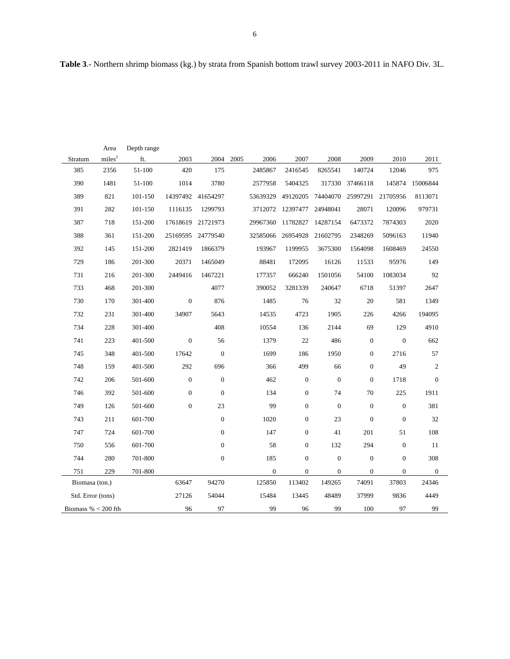|                       | Area               | Depth range |              |                   |          |                  |                  |                  |                  |                  |              |
|-----------------------|--------------------|-------------|--------------|-------------------|----------|------------------|------------------|------------------|------------------|------------------|--------------|
| Stratum               | miles <sup>2</sup> | ft.         | 2003         | 2004              | 2005     | 2006             | 2007             | 2008             | 2009             | 2010             | 2011         |
| 385                   | 2356               | 51-100      | 420          | 175               | 2485867  | 2416545          |                  | 8265541          | 140724           | 12046            | 975          |
| 390                   | 1481               | 51-100      | 1014         | 3780              | 2577958  | 5404325          |                  |                  | 317330 37466118  | 145874           | 15006844     |
| 389                   | 821                | 101-150     |              | 14397492 41654297 | 53639329 | 49120205         |                  | 74404070         | 25997291         | 21705956         | 8113071      |
| 391                   | 282                | 101-150     | 1116135      | 1299793           |          | 3712072 12397477 |                  | 24948041         | 28071            | 120096           | 979731       |
| 387                   | 718                | 151-200     | 17618619     | 21721973          | 29967360 | 11782827         |                  | 14287154         | 6473372          | 7874303          | 2020         |
| 388                   | 361                | 151-200     |              | 25169595 24779540 | 32585066 | 26954928         |                  | 21602795         | 2348269          | 5096163          | 11940        |
| 392                   | 145                | 151-200     | 2821419      | 1866379           | 193967   | 1199955          |                  | 3675300          | 1564098          | 1608469          | 24550        |
| 729                   | 186                | 201-300     | 20371        | 1465049           | 88481    |                  | 172095           | 16126            | 11533            | 95976            | 149          |
| 731                   | 216                | 201-300     | 2449416      | 1467221           | 177357   |                  | 666240           | 1501056          | 54100            | 1083034          | 92           |
| 733                   | 468                | 201-300     |              | 4077              | 390052   | 3281339          |                  | 240647           | 6718             | 51397            | 2647         |
| 730                   | 170                | 301-400     | $\mathbf{0}$ | 876               |          | 1485             | 76               | 32               | 20               | 581              | 1349         |
| 732                   | 231                | 301-400     | 34907        | 5643              | 14535    |                  | 4723             | 1905             | 226              | 4266             | 194095       |
| 734                   | 228                | 301-400     |              | 408               | 10554    |                  | 136              | 2144             | 69               | 129              | 4910         |
| 741                   | 223                | 401-500     | $\mathbf{0}$ | 56                |          | 1379             | 22               | 486              | $\boldsymbol{0}$ | $\boldsymbol{0}$ | 662          |
| 745                   | 348                | 401-500     | 17642        | $\boldsymbol{0}$  |          | 1699             | 186              | 1950             | $\boldsymbol{0}$ | 2716             | 57           |
| 748                   | 159                | 401-500     | 292          | 696               |          | 366              | 499              | 66               | $\boldsymbol{0}$ | 49               | $\sqrt{2}$   |
| 742                   | 206                | 501-600     | $\mathbf{0}$ | $\boldsymbol{0}$  |          | 462              | $\boldsymbol{0}$ | $\boldsymbol{0}$ | $\mathbf{0}$     | 1718             | $\mathbf{0}$ |
| 746                   | 392                | 501-600     | $\mathbf{0}$ | $\overline{0}$    |          | 134              | $\boldsymbol{0}$ | 74               | 70               | 225              | 1911         |
| 749                   | 126                | 501-600     | $\mathbf{0}$ | 23                |          | 99               | $\boldsymbol{0}$ | $\mathbf{0}$     | $\boldsymbol{0}$ | $\boldsymbol{0}$ | 381          |
| 743                   | 211                | 601-700     |              | $\boldsymbol{0}$  |          | 1020             | $\boldsymbol{0}$ | 23               | $\boldsymbol{0}$ | $\boldsymbol{0}$ | 32           |
| 747                   | 724                | 601-700     |              | $\overline{0}$    |          | 147              | $\boldsymbol{0}$ | 41               | 201              | 51               | 108          |
| 750                   | 556                | 601-700     |              | $\mathbf{0}$      |          | 58               | $\boldsymbol{0}$ | 132              | 294              | $\mathbf{0}$     | 11           |
| 744                   | 280                | 701-800     |              | $\boldsymbol{0}$  |          | 185              | $\boldsymbol{0}$ | $\boldsymbol{0}$ | $\boldsymbol{0}$ | $\boldsymbol{0}$ | 308          |
| 751                   | 229                | 701-800     |              |                   |          | $\boldsymbol{0}$ | $\mathbf{0}$     | $\boldsymbol{0}$ | $\mathbf{0}$     | $\boldsymbol{0}$ | $\mathbf{0}$ |
| Biomasa (ton.)        |                    |             | 63647        | 94270             | 125850   |                  | 113402           | 149265           | 74091            | 37803            | 24346        |
| Std. Error (tons)     |                    |             | 27126        | 54044             | 15484    |                  | 13445            | 48489            | 37999            | 9836             | 4449         |
| Biomass % $<$ 200 fth |                    |             | 96           | 97                |          | 99               | 96               | 99               | 100              | 97               | 99           |

**Table 3**.- Northern shrimp biomass (kg.) by strata from Spanish bottom trawl survey 2003-2011 in NAFO Div. 3L.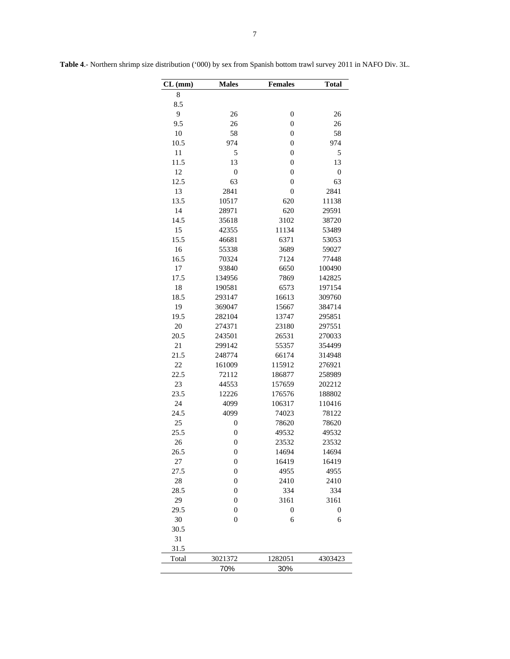| CL (mm) | <b>Males</b>     | <b>Females</b> | <b>Total</b> |
|---------|------------------|----------------|--------------|
| 8       |                  |                |              |
| 8.5     |                  |                |              |
| 9       | 26               | $\mathbf{0}$   | 26           |
| 9.5     | 26               | $\overline{0}$ | 26           |
| 10      | 58               | $\overline{0}$ | 58           |
| 10.5    | 974              | $\overline{0}$ | 974          |
| 11      | 5                | $\overline{0}$ | 5            |
| 11.5    | 13               | $\overline{0}$ | 13           |
| 12      | $\overline{0}$   | $\overline{0}$ | $\mathbf{0}$ |
| 12.5    | 63               | $\overline{0}$ | 63           |
| 13      | 2841             | $\overline{0}$ | 2841         |
| 13.5    | 10517            | 620            | 11138        |
| 14      | 28971            | 620            | 29591        |
| 14.5    | 35618            | 3102           | 38720        |
| 15      | 42355            | 11134          | 53489        |
| 15.5    | 46681            | 6371           | 53053        |
| 16      | 55338            | 3689           | 59027        |
| 16.5    | 70324            | 7124           | 77448        |
| 17      | 93840            | 6650           | 100490       |
| 17.5    | 134956           | 7869           | 142825       |
| 18      | 190581           | 6573           | 197154       |
| 18.5    | 293147           | 16613          | 309760       |
| 19      | 369047           | 15667          | 384714       |
| 19.5    | 282104           | 13747          | 295851       |
| 20      | 274371           | 23180          | 297551       |
| 20.5    | 243501           | 26531          | 270033       |
| 21      | 299142           | 55357          | 354499       |
| 21.5    | 248774           | 66174          | 314948       |
| 22      | 161009           | 115912         | 276921       |
| 22.5    | 72112            | 186877         | 258989       |
| 23      | 44553            | 157659         | 202212       |
| 23.5    | 12226            | 176576         | 188802       |
| 24      | 4099             | 106317         | 110416       |
| 24.5    | 4099             | 74023          | 78122        |
| 25      | $\boldsymbol{0}$ | 78620          | 78620        |
| 25.5    | $\overline{0}$   | 49532          | 49532        |
| 26      | $\overline{0}$   | 23532          | 23532        |
| 26.5    | $\boldsymbol{0}$ | 14694          | 14694        |
| 27      | $\boldsymbol{0}$ | 16419          | 16419        |
| 27.5    | $\boldsymbol{0}$ | 4955           | 4955         |
| 28      | $\boldsymbol{0}$ | 2410           | 2410         |
| 28.5    | $\boldsymbol{0}$ | 334            | 334          |
| 29      | $\boldsymbol{0}$ | 3161           | 3161         |
| 29.5    | $\boldsymbol{0}$ | $\mathbf{0}$   | $\mathbf{0}$ |
| 30      | $\boldsymbol{0}$ | 6              | 6            |
| 30.5    |                  |                |              |
| 31      |                  |                |              |
| 31.5    |                  |                |              |
| Total   | 3021372          | 1282051        | 4303423      |
|         | 70%              | 30%            |              |

**Table 4**.- Northern shrimp size distribution ('000) by sex from Spanish bottom trawl survey 2011 in NAFO Div. 3L.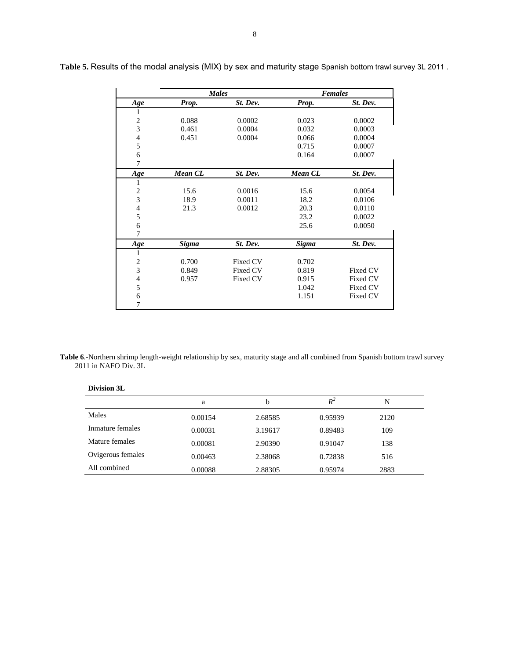|                         | <b>Males</b>   |          | <b>Females</b> |                 |
|-------------------------|----------------|----------|----------------|-----------------|
| Age                     | Prop.          | St. Dev. | Prop.          | St. Dev.        |
| 1                       |                |          |                |                 |
| $\overline{c}$          | 0.088          | 0.0002   | 0.023          | 0.0002          |
| $\overline{3}$          | 0.461          | 0.0004   | 0.032          | 0.0003          |
| 4                       | 0.451          | 0.0004   | 0.066          | 0.0004          |
| 5                       |                |          | 0.715          | 0.0007          |
| 6                       |                |          | 0.164          | 0.0007          |
| 7                       |                |          |                |                 |
| Age                     | <b>Mean CL</b> | St. Dev. | <b>Mean CL</b> | St. Dev.        |
| 1                       |                |          |                |                 |
| $\overline{c}$          | 15.6           | 0.0016   | 15.6           | 0.0054          |
| 3                       | 18.9           | 0.0011   | 18.2           | 0.0106          |
| 4                       | 21.3           | 0.0012   | 20.3           | 0.0110          |
| 5                       |                |          | 23.2           | 0.0022          |
| 6                       |                |          | 25.6           | 0.0050          |
| 7                       |                |          |                |                 |
| Age                     | <b>Sigma</b>   | St. Dev. | <b>Sigma</b>   | St. Dev.        |
| 1                       |                |          |                |                 |
| $\overline{\mathbf{c}}$ | 0.700          | Fixed CV | 0.702          |                 |
| $\overline{\mathbf{3}}$ | 0.849          | Fixed CV | 0.819          | <b>Fixed CV</b> |
| $\overline{4}$          | 0.957          | Fixed CV | 0.915          | <b>Fixed CV</b> |
| 5                       |                |          | 1.042          | Fixed CV        |
| 6                       |                |          | 1.151          | Fixed CV        |
| 7                       |                |          |                |                 |

**Table 5.** Results of the modal analysis (MIX) by sex and maturity stage Spanish bottom trawl survey 3L 2011 .

**Table 6**.-Northern shrimp length-weight relationship by sex, maturity stage and all combined from Spanish bottom trawl survey 2011 in NAFO Div. 3L

| <b>DIVISIVII JL</b> |         |         |         |      |  |
|---------------------|---------|---------|---------|------|--|
|                     | a       | b       | $R^2$   | N    |  |
| Males               | 0.00154 | 2.68585 | 0.95939 | 2120 |  |
| Inmature females    | 0.00031 | 3.19617 | 0.89483 | 109  |  |
| Mature females      | 0.00081 | 2.90390 | 0.91047 | 138  |  |
| Ovigerous females   | 0.00463 | 2.38068 | 0.72838 | 516  |  |
| All combined        | 0.00088 | 2.88305 | 0.95974 | 2883 |  |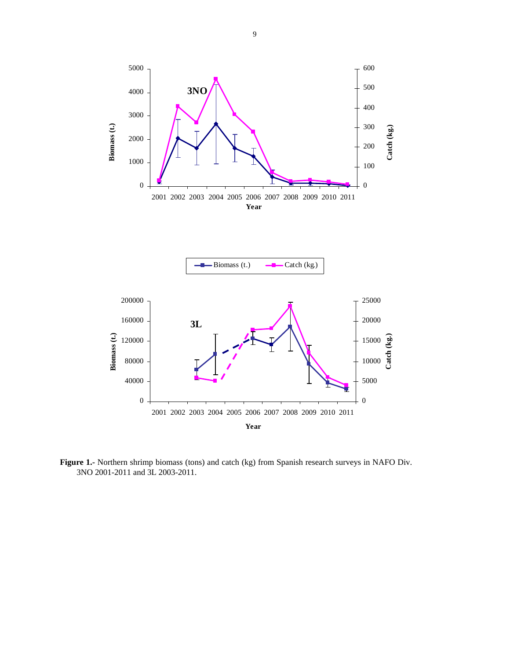



**Figure 1.-** Northern shrimp biomass (tons) and catch (kg) from Spanish research surveys in NAFO Div. 3NO 2001-2011 and 3L 2003-2011.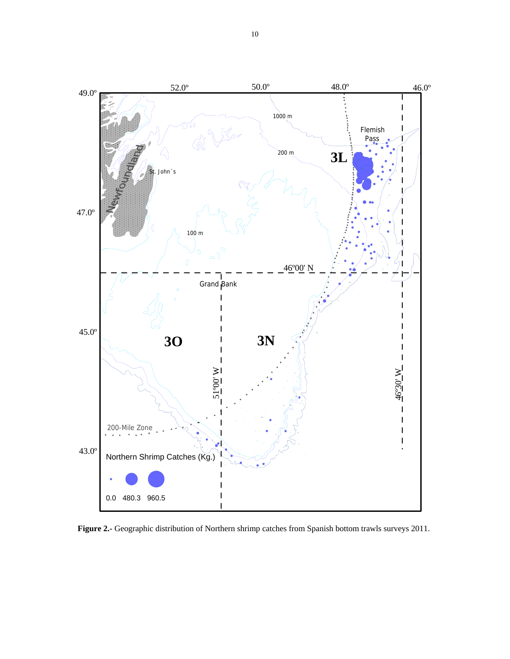

**Figure 2.-** Geographic distribution of Northern shrimp catches from Spanish bottom trawls surveys 2011.